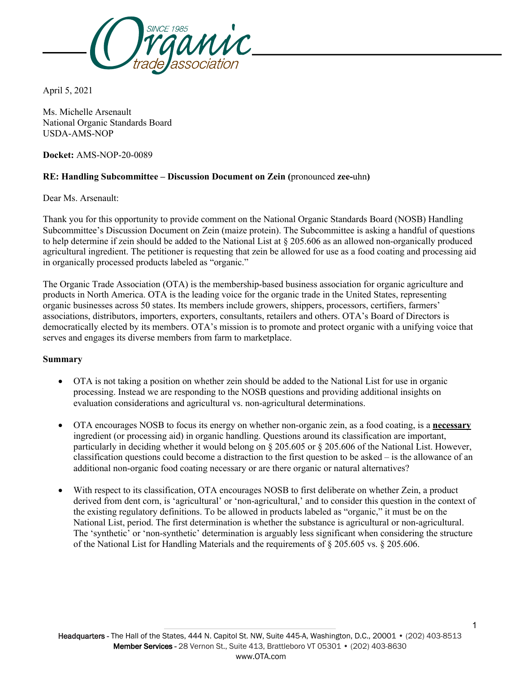

April 5, 2021

Ms. Michelle Arsenault National Organic Standards Board USDA-AMS-NOP

**Docket:** AMS-NOP-20-0089

# **RE: Handling Subcommittee – Discussion Document on Zein (**pronounced **zee-**uhn**)**

Dear Ms. Arsenault:

Thank you for this opportunity to provide comment on the National Organic Standards Board (NOSB) Handling Subcommittee's Discussion Document on Zein (maize protein). The Subcommittee is asking a handful of questions to help determine if zein should be added to the National List at § 205.606 as an allowed non-organically produced agricultural ingredient. The petitioner is requesting that zein be allowed for use as a food coating and processing aid in organically processed products labeled as "organic."

The Organic Trade Association (OTA) is the membership-based business association for organic agriculture and products in North America. OTA is the leading voice for the organic trade in the United States, representing organic businesses across 50 states. Its members include growers, shippers, processors, certifiers, farmers' associations, distributors, importers, exporters, consultants, retailers and others. OTA's Board of Directors is democratically elected by its members. OTA's mission is to promote and protect organic with a unifying voice that serves and engages its diverse members from farm to marketplace.

#### **Summary**

- OTA is not taking a position on whether zein should be added to the National List for use in organic processing. Instead we are responding to the NOSB questions and providing additional insights on evaluation considerations and agricultural vs. non-agricultural determinations.
- OTA encourages NOSB to focus its energy on whether non-organic zein, as a food coating, is a **necessary** ingredient (or processing aid) in organic handling. Questions around its classification are important, particularly in deciding whether it would belong on § 205.605 or § 205.606 of the National List. However, classification questions could become a distraction to the first question to be asked – is the allowance of an additional non-organic food coating necessary or are there organic or natural alternatives?
- With respect to its classification, OTA encourages NOSB to first deliberate on whether Zein, a product derived from dent corn, is 'agricultural' or 'non-agricultural,' and to consider this question in the context of the existing regulatory definitions. To be allowed in products labeled as "organic," it must be on the National List, period. The first determination is whether the substance is agricultural or non-agricultural. The 'synthetic' or 'non-synthetic' determination is arguably less significant when considering the structure of the National List for Handling Materials and the requirements of § 205.605 vs. § 205.606.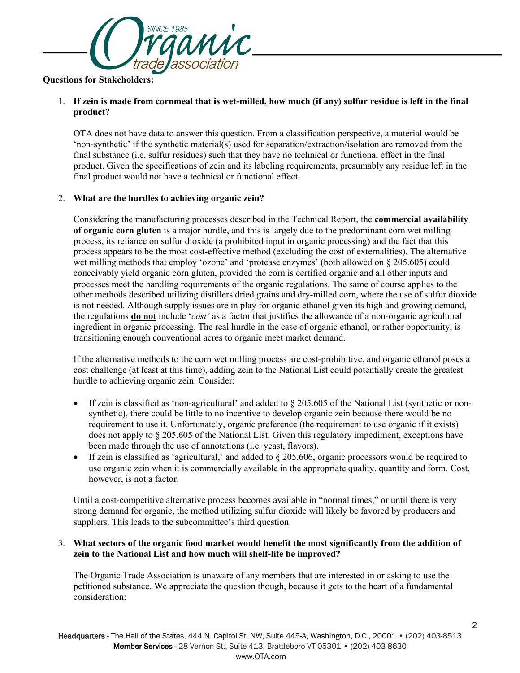

#### **Questions for Stakeholders:**

## 1. **If zein is made from cornmeal that is wet-milled, how much (if any) sulfur residue is left in the final product?**

OTA does not have data to answer this question. From a classification perspective, a material would be 'non-synthetic' if the synthetic material(s) used for separation/extraction/isolation are removed from the final substance (i.e. sulfur residues) such that they have no technical or functional effect in the final product. Given the specifications of zein and its labeling requirements, presumably any residue left in the final product would not have a technical or functional effect.

## 2. **What are the hurdles to achieving organic zein?**

Considering the manufacturing processes described in the Technical Report, the **commercial availability of organic corn gluten** is a major hurdle, and this is largely due to the predominant corn wet milling process, its reliance on sulfur dioxide (a prohibited input in organic processing) and the fact that this process appears to be the most cost-effective method (excluding the cost of externalities). The alternative wet milling methods that employ 'ozone' and 'protease enzymes' (both allowed on § 205.605) could conceivably yield organic corn gluten, provided the corn is certified organic and all other inputs and processes meet the handling requirements of the organic regulations. The same of course applies to the other methods described utilizing distillers dried grains and dry-milled corn, where the use of sulfur dioxide is not needed. Although supply issues are in play for organic ethanol given its high and growing demand, the regulations **do not** include '*cost'* as a factor that justifies the allowance of a non-organic agricultural ingredient in organic processing. The real hurdle in the case of organic ethanol, or rather opportunity, is transitioning enough conventional acres to organic meet market demand.

If the alternative methods to the corn wet milling process are cost-prohibitive, and organic ethanol poses a cost challenge (at least at this time), adding zein to the National List could potentially create the greatest hurdle to achieving organic zein. Consider:

- If zein is classified as 'non-agricultural' and added to  $\S 205.605$  of the National List (synthetic or nonsynthetic), there could be little to no incentive to develop organic zein because there would be no requirement to use it. Unfortunately, organic preference (the requirement to use organic if it exists) does not apply to § 205.605 of the National List. Given this regulatory impediment, exceptions have been made through the use of annotations (i.e. yeast, flavors).
- If zein is classified as 'agricultural,' and added to  $\S 205.606$ , organic processors would be required to use organic zein when it is commercially available in the appropriate quality, quantity and form. Cost, however, is not a factor.

Until a cost-competitive alternative process becomes available in "normal times," or until there is very strong demand for organic, the method utilizing sulfur dioxide will likely be favored by producers and suppliers. This leads to the subcommittee's third question.

## 3. **What sectors of the organic food market would benefit the most significantly from the addition of zein to the National List and how much will shelf-life be improved?**

The Organic Trade Association is unaware of any members that are interested in or asking to use the petitioned substance. We appreciate the question though, because it gets to the heart of a fundamental consideration: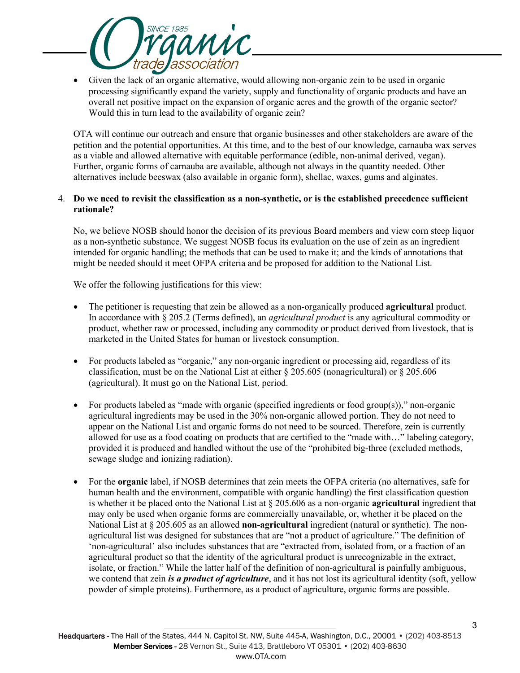

• Given the lack of an organic alternative, would allowing non-organic zein to be used in organic processing significantly expand the variety, supply and functionality of organic products and have an overall net positive impact on the expansion of organic acres and the growth of the organic sector? Would this in turn lead to the availability of organic zein?

OTA will continue our outreach and ensure that organic businesses and other stakeholders are aware of the petition and the potential opportunities. At this time, and to the best of our knowledge, carnauba wax serves as a viable and allowed alternative with equitable performance (edible, non-animal derived, vegan). Further, organic forms of carnauba are available, although not always in the quantity needed. Other alternatives include beeswax (also available in organic form), shellac, waxes, gums and alginates.

#### 4. **Do we need to revisit the classification as a non-synthetic, or is the established precedence sufficient rationale?**

No, we believe NOSB should honor the decision of its previous Board members and view corn steep liquor as a non-synthetic substance. We suggest NOSB focus its evaluation on the use of zein as an ingredient intended for organic handling; the methods that can be used to make it; and the kinds of annotations that might be needed should it meet OFPA criteria and be proposed for addition to the National List.

We offer the following justifications for this view:

- The petitioner is requesting that zein be allowed as a non-organically produced **agricultural** product. In accordance with § 205.2 (Terms defined), an *agricultural product* is any agricultural commodity or product, whether raw or processed, including any commodity or product derived from livestock, that is marketed in the United States for human or livestock consumption.
- For products labeled as "organic," any non-organic ingredient or processing aid, regardless of its classification, must be on the National List at either § 205.605 (nonagricultural) or § 205.606 (agricultural). It must go on the National List, period.
- For products labeled as "made with organic (specified ingredients or food group(s))," non-organic agricultural ingredients may be used in the 30% non-organic allowed portion. They do not need to appear on the National List and organic forms do not need to be sourced. Therefore, zein is currently allowed for use as a food coating on products that are certified to the "made with…" labeling category, provided it is produced and handled without the use of the "prohibited big-three (excluded methods, sewage sludge and ionizing radiation).
- For the **organic** label, if NOSB determines that zein meets the OFPA criteria (no alternatives, safe for human health and the environment, compatible with organic handling) the first classification question is whether it be placed onto the National List at § 205.606 as a non-organic **agricultural** ingredient that may only be used when organic forms are commercially unavailable, or, whether it be placed on the National List at § 205.605 as an allowed **non-agricultural** ingredient (natural or synthetic). The nonagricultural list was designed for substances that are "not a product of agriculture." The definition of 'non-agricultural' also includes substances that are "extracted from, isolated from, or a fraction of an agricultural product so that the identity of the agricultural product is unrecognizable in the extract, isolate, or fraction." While the latter half of the definition of non-agricultural is painfully ambiguous, we contend that zein *is a product of agriculture*, and it has not lost its agricultural identity (soft, yellow powder of simple proteins). Furthermore, as a product of agriculture, organic forms are possible.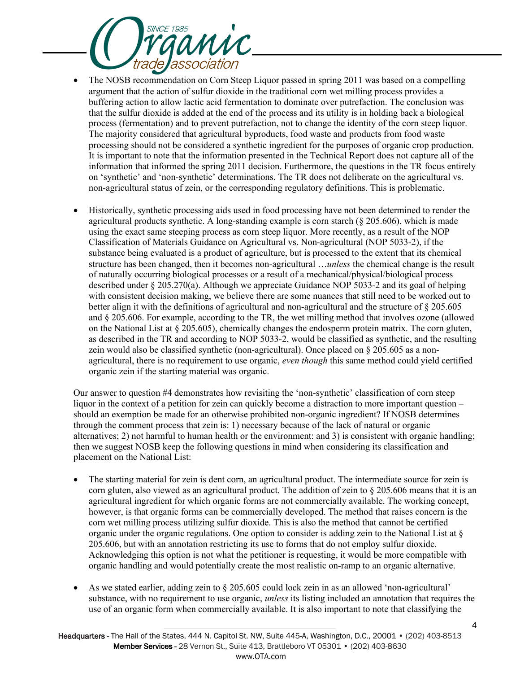

- The NOSB recommendation on Corn Steep Liquor passed in spring 2011 was based on a compelling argument that the action of sulfur dioxide in the traditional corn wet milling process provides a buffering action to allow lactic acid fermentation to dominate over putrefaction. The conclusion was that the sulfur dioxide is added at the end of the process and its utility is in holding back a biological process (fermentation) and to prevent putrefaction, not to change the identity of the corn steep liquor. The majority considered that agricultural byproducts, food waste and products from food waste processing should not be considered a synthetic ingredient for the purposes of organic crop production. It is important to note that the information presented in the Technical Report does not capture all of the information that informed the spring 2011 decision. Furthermore, the questions in the TR focus entirely on 'synthetic' and 'non-synthetic' determinations. The TR does not deliberate on the agricultural vs. non-agricultural status of zein, or the corresponding regulatory definitions. This is problematic.
- Historically, synthetic processing aids used in food processing have not been determined to render the agricultural products synthetic. A long-standing example is corn starch  $(\xi 205.606)$ , which is made using the exact same steeping process as corn steep liquor. More recently, as a result of the NOP Classification of Materials Guidance on Agricultural vs. Non-agricultural (NOP 5033-2), if the substance being evaluated is a product of agriculture, but is processed to the extent that its chemical structure has been changed, then it becomes non-agricultural …*unless* the chemical change is the result of naturally occurring biological processes or a result of a mechanical/physical/biological process described under § 205.270(a). Although we appreciate Guidance NOP 5033-2 and its goal of helping with consistent decision making, we believe there are some nuances that still need to be worked out to better align it with the definitions of agricultural and non-agricultural and the structure of § 205.605 and § 205.606. For example, according to the TR, the wet milling method that involves ozone (allowed on the National List at  $\S 205.605$ , chemically changes the endosperm protein matrix. The corn gluten, as described in the TR and according to NOP 5033-2, would be classified as synthetic, and the resulting zein would also be classified synthetic (non-agricultural). Once placed on  $\S 205.605$  as a nonagricultural, there is no requirement to use organic, *even though* this same method could yield certified organic zein if the starting material was organic.

Our answer to question #4 demonstrates how revisiting the 'non-synthetic' classification of corn steep liquor in the context of a petition for zein can quickly become a distraction to more important question – should an exemption be made for an otherwise prohibited non-organic ingredient? If NOSB determines through the comment process that zein is: 1) necessary because of the lack of natural or organic alternatives; 2) not harmful to human health or the environment: and 3) is consistent with organic handling; then we suggest NOSB keep the following questions in mind when considering its classification and placement on the National List:

- The starting material for zein is dent corn, an agricultural product. The intermediate source for zein is corn gluten, also viewed as an agricultural product. The addition of zein to § 205.606 means that it is an agricultural ingredient for which organic forms are not commercially available. The working concept, however, is that organic forms can be commercially developed. The method that raises concern is the corn wet milling process utilizing sulfur dioxide. This is also the method that cannot be certified organic under the organic regulations. One option to consider is adding zein to the National List at § 205.606, but with an annotation restricting its use to forms that do not employ sulfur dioxide. Acknowledging this option is not what the petitioner is requesting, it would be more compatible with organic handling and would potentially create the most realistic on-ramp to an organic alternative.
- As we stated earlier, adding zein to § 205.605 could lock zein in as an allowed 'non-agricultural' substance, with no requirement to use organic, *unless* its listing included an annotation that requires the use of an organic form when commercially available. It is also important to note that classifying the